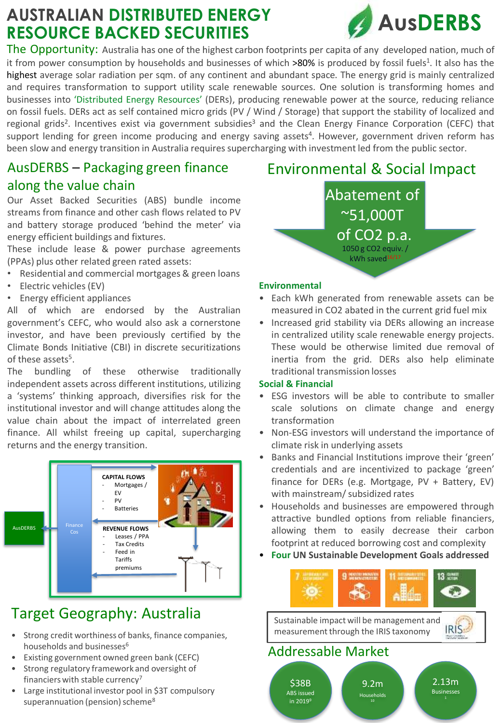# **AUSTRALIAN DISTRIBUTED ENERGY RESOURCE BACKED SECURITIES**



The Opportunity: Australia has one of the highest carbon footprints per capita of any developed nation, much of it from power consumption by households and businesses of which >80% is produced by fossil fuels<sup>1</sup>. It also has the highest average solar radiation per sqm. of any continent and abundant space. The energy grid is mainly centralized and requires transformation to support utility scale renewable sources. One solution is transforming homes and businesses into 'Distributed Energy Resources' (DERs), producing renewable power at the source, reducing reliance on fossil fuels. DERs act as self contained micro grids (PV / Wind / Storage) that support the stability of localized and regional grids<sup>2</sup>. Incentives exist via government subsidies<sup>3</sup> and the Clean Energy Finance Corporation (CEFC) that support lending for green income producing and energy saving assets<sup>4</sup>. However, government driven reform has been slow and energy transition in Australia requires supercharging with investment led from the public sector.

## AusDERBS – Packaging green finance along the value chain

Our Asset Backed Securities (ABS) bundle income streams from finance and other cash flows related to PV and battery storage produced 'behind the meter' via energy efficient buildings and fixtures.

These include lease & power purchase agreements (PPAs) plus other related green rated assets:

- Residential and commercial mortgages & green loans
- Electric vehicles (EV)
- Energy efficient appliances

All of which are endorsed by the Australian government's CEFC, who would also ask a cornerstone investor, and have been previously certified by the Climate Bonds Initiative (CBI) in discrete securitizations of these assets<sup>5</sup>.

The bundling of these otherwise traditionally independent assets across different institutions, utilizing a 'systems' thinking approach, diversifies risk for the institutional investor and will change attitudes along the value chain about the impact of interrelated green finance. All whilst freeing up capital, supercharging returns and the energy transition.



# Target Geography: Australia

- Strong credit worthiness of banks, finance companies, households and businesses<sup>6</sup>
- Existing government owned green bank (CEFC)
- Strong regulatory framework and oversight of financiers with stable currency<sup>7</sup>
- Large institutional investor pool in \$3T compulsory superannuation (pension) scheme<sup>8</sup>

## Environmental & Social Impact

Abatement of ~51,000T  $\overline{\text{of CO2}}$  p.a. 1050 g CO2 equiv. / kWh saved16/17

### **Environmental**

- Each kWh generated from renewable assets can be measured in CO2 abated in the current grid fuel mix
- Increased grid stability via DERs allowing an increase in centralized utility scale renewable energy projects. These would be otherwise limited due removal of inertia from the grid. DERs also help eliminate traditional transmission losses

#### **Social & Financial**

- ESG investors will be able to contribute to smaller scale solutions on climate change and energy transformation
- Non-ESG investors will understand the importance of climate risk in underlying assets
- Banks and Financial Institutions improve their 'green' credentials and are incentivized to package 'green' finance for DERs (e.g. Mortgage, PV + Battery, EV) with mainstream/subsidized rates
- Households and businesses are empowered through attractive bundled options from reliable financiers, allowing them to easily decrease their carbon footprint at reduced borrowing cost and complexity
- **Four UN Sustainable Development Goals addressed**



Sustainable impact will be management and **IRIS** measurement through the IRIS taxonomy

## Addressable Market